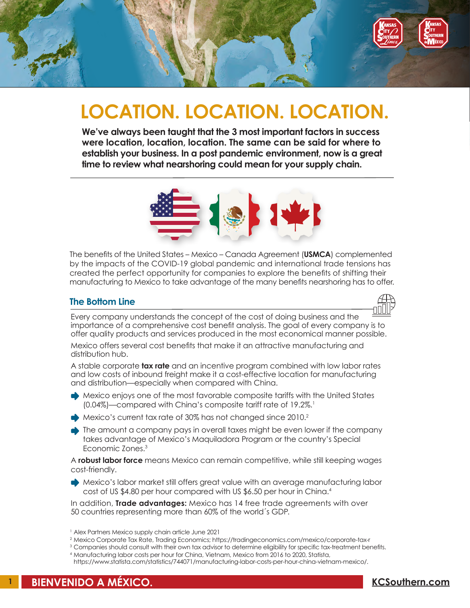

# **LOCATION. LOCATION. LOCATION.**

**We've always been taught that the 3 most important factors in success were location, location, location. The same can be said for where to establish your business. In a post pandemic environment, now is a great time to review what nearshoring could mean for your supply chain.**



The benefits of the United States – Mexico – Canada Agreement (**USMCA**) complemented by the impacts of the COVID-19 global pandemic and international trade tensions has created the perfect opportunity for companies to explore the benefits of shifting their manufacturing to Mexico to take advantage of the many benefits nearshoring has to offer.

### **The Bottom Line**



Every company understands the concept of the cost of doing business and the importance of a comprehensive cost benefit analysis. The goal of every company is to offer quality products and services produced in the most economical manner possible.

Mexico offers several cost benefits that make it an attractive manufacturing and distribution hub.

A stable corporate **tax rate** and an incentive program combined with low labor rates and low costs of inbound freight make it a cost-effective location for manufacturing and distribution—especially when compared with China.

- Mexico enjoys one of the most favorable composite tariffs with the United States (0.04%)—compared with China's composite tariff rate of 19.2%.<sup>1</sup>
- Mexico's current tax rate of 30% has not changed since 2010.<sup>2</sup>
- The amount a company pays in overall taxes might be even lower if the company takes advantage of Mexico's Maquiladora Program or the country's Special Economic Zones.3

A **robust labor force** means Mexico can remain competitive, while still keeping wages cost-friendly.

• Mexico's labor market still offers great value with an average manufacturing labor cost of US \$4.80 per hour compared with US \$6.50 per hour in China.<sup>4</sup>

In addition, **Trade advantages:** Mexico has 14 free trade agreements with over 50 countries representing more than 60% of the world´s GDP.

- <sup>2</sup> Mexico Corporate Tax Rate, Trading Economics; https://tradingeconomics.com/mexico/corporate-tax-r
- <sup>3</sup> Companies should consult with their own tax advisor to determine eligibility for specific tax-treatment benefits.
- <sup>4</sup> Manufacturing labor costs per hour for China, Vietnam, Mexico from 2016 to 2020, Statista,

<sup>1</sup> Alex Partners Mexico supply chain article June 2021

https://www.statista.com/statistics/744071/manufacturing-labor-costs-per-hour-china-vietnam-mexico/.